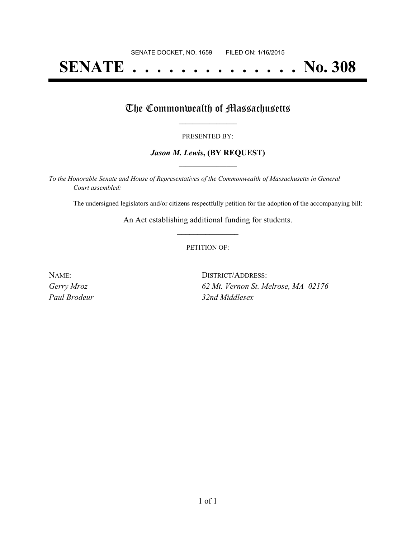# **SENATE . . . . . . . . . . . . . . No. 308**

## The Commonwealth of Massachusetts

#### PRESENTED BY:

#### *Jason M. Lewis***, (BY REQUEST) \_\_\_\_\_\_\_\_\_\_\_\_\_\_\_\_\_**

*To the Honorable Senate and House of Representatives of the Commonwealth of Massachusetts in General Court assembled:*

The undersigned legislators and/or citizens respectfully petition for the adoption of the accompanying bill:

An Act establishing additional funding for students. **\_\_\_\_\_\_\_\_\_\_\_\_\_\_\_**

#### PETITION OF:

| Name:        | DISTRICT/ADDRESS:                   |  |  |  |
|--------------|-------------------------------------|--|--|--|
| Gerry Mroz   | 62 Mt. Vernon St. Melrose, MA 02176 |  |  |  |
| Paul Brodeur | 32nd Middlesex                      |  |  |  |